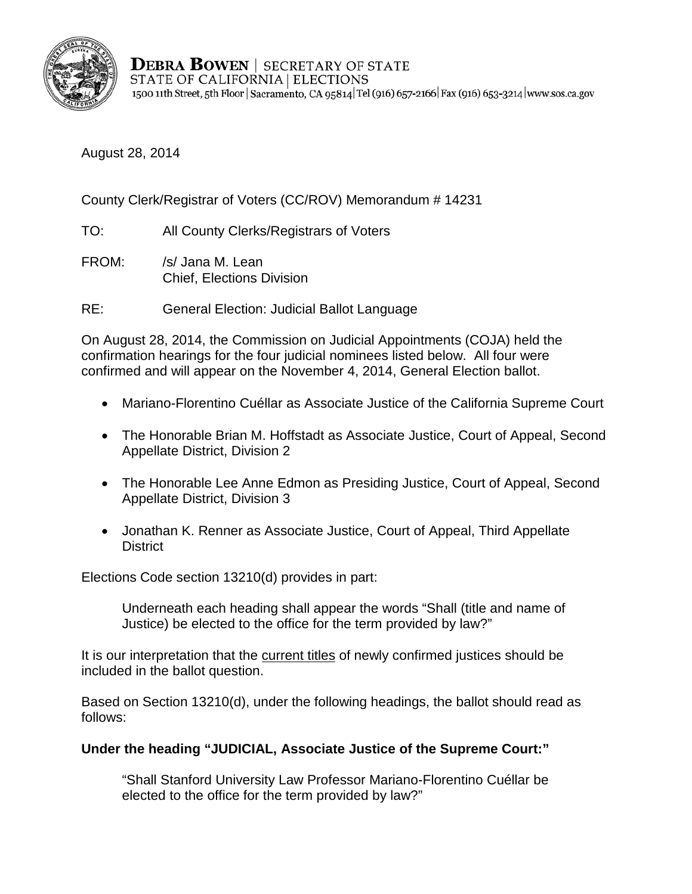

**DEBRA BOWEN** | SECRETARY OF STATE STATE OF CALIFORNIA | ELECTIONS 1500 11th Street, 5th Floor | Sacramento, CA 95814 | Tel (916) 657-2166 | Fax (916) 653-3214 | www.sos.ca.gov

August 28, 2014

County Clerk/Registrar of Voters (CC/ROV) Memorandum # 14231

TO: All County Clerks/Registrars of Voters

FROM: /s/ Jana M. Lean Chief, Elections Division

RE: General Election: Judicial Ballot Language

On August 28, 2014, the Commission on Judicial Appointments (COJA) held the confirmation hearings for the four judicial nominees listed below. All four were confirmed and will appear on the November 4, 2014, General Election ballot.

- Mariano-Florentino Cuéllar as Associate Justice of the California Supreme C ourt
- The Honorable Brian M. Hoffstadt as Associate Justice, Court of Appeal, Second Appellate District, Division 2
- The Honorable Lee Anne Edmon as Presiding Justice, Court of Appeal, Second Appellate District, Division 3
- Jonathan K. Renner as Associate Justice, Court of Appeal, Third Appellate **District**

Elections Code section 13210(d) provides in part:

Underneath each heading shall appear the words "Shall (title and name of Justice) be elected to the office for the term provided by law?"

It is our interpretation that the current titles of newly confirmed justices should be included in the ballot question.

Based on Section 13210(d), under the following headings, the ballot should read as follows:

## **Under the heading "JUDICIAL, Associate Justice of the Supreme Court:"**

"Shall Stanford University Law Professor Mariano-Florentino Cuéllar be elected to the office for the term provided by law?"